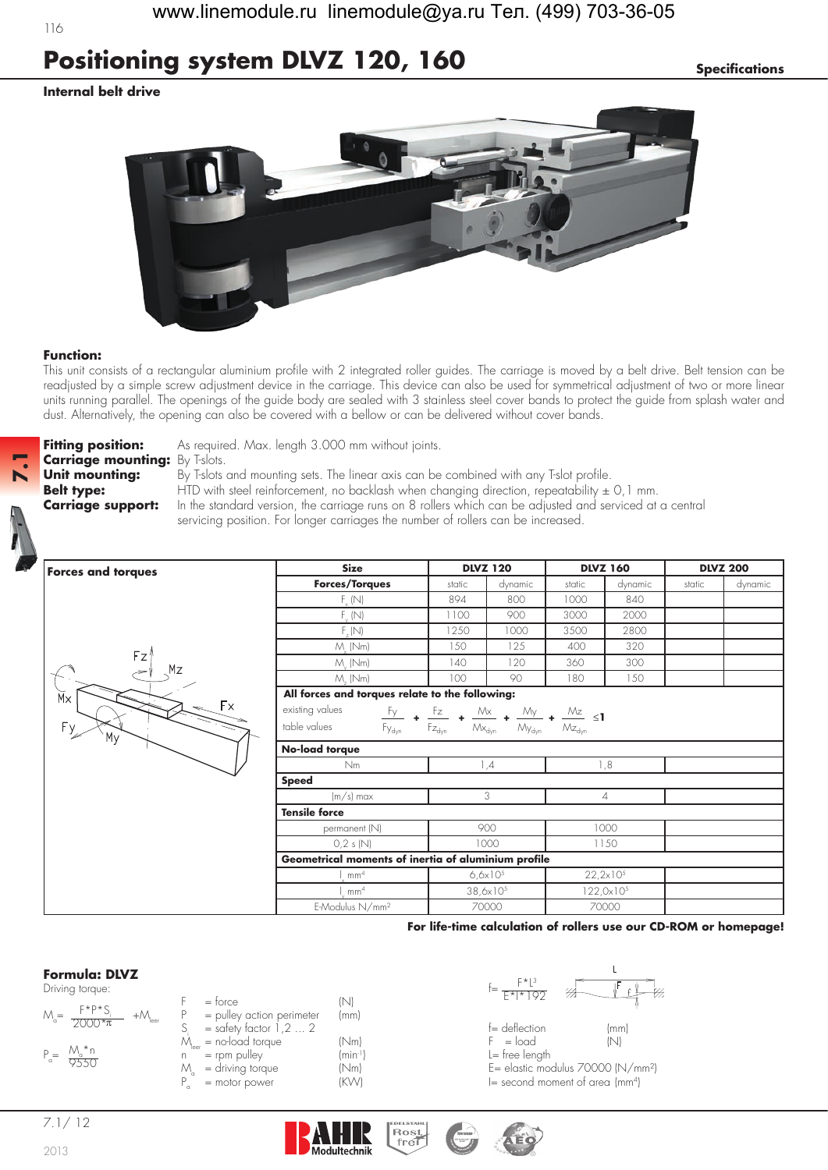# **Positioning system DLVZ 120, 160 Specifications**

### **Internal belt drive**

116



#### **Function:**

This unit consists of a rectangular aluminium profile with 2 integrated roller guides. The carriage is moved by a belt drive. Belt tension can be readjusted by a simple screw adjustment device in the carriage. This device can also be used for symmetrical adjustment of two or more linear units running parallel. The openings of the guide body are sealed with 3 stainless steel cover bands to protect the guide from splash water and dust. Alternatively, the opening can also be covered with a bellow or can be delivered without cover bands.



**Fitting position:** As required. Max. length 3.000 mm without joints.

**Unit mounting:** By T-slots and mounting sets. The linear axis can be combined with any T-slot profile. **Belt type:** HTD with steel reinforcement, no backlash when changing direction, repeatability  $\pm$  0,1 mm. **Carriage support:** In the standard version, the carriage runs on 8 rollers which can be adjusted and serviced at a central

servicing position. For longer carriages the number of rollers can be increased.

| <b>Forces and torques</b>  | <b>Size</b>                                                                                                                                                          | <b>DLVZ 120</b> |                      | <b>DLVZ 160</b> |                     | <b>DLVZ 200</b> |         |
|----------------------------|----------------------------------------------------------------------------------------------------------------------------------------------------------------------|-----------------|----------------------|-----------------|---------------------|-----------------|---------|
|                            | <b>Forces/Torques</b>                                                                                                                                                | static          | dynamic              | static          | dynamic             | static          | dynamic |
|                            | $F_{v}$ (N)                                                                                                                                                          | 894             | 800                  | 1000            | 840                 |                 |         |
|                            | $F_{\nu}$ (N)                                                                                                                                                        | 1100            | 900                  | 3000            | 2000                |                 |         |
|                            | $F_{u}(N)$                                                                                                                                                           | 1250            | 1000                 | 3500            | 2800                |                 |         |
|                            | $M_{.}$ (Nm)                                                                                                                                                         | 150             | 125                  | 400             | 320                 |                 |         |
| Fz<br>Mz<br>Мx<br>Fx<br>Fy | $M_{\cdot}$ (Nm)                                                                                                                                                     | 140             | 120                  | 360             | 300                 |                 |         |
|                            | $M_{-}$ (Nm)                                                                                                                                                         | 100             | 90                   | 180             | 150                 |                 |         |
|                            | All forces and torques relate to the following:                                                                                                                      |                 |                      |                 |                     |                 |         |
|                            | existing values<br>$\frac{F_y}{F_{\gamma_{dyn}}}$ + $\frac{F_z}{F_{Z_{dyn}}}$ + $\frac{M_x}{M_{x_{dyn}}}$ + $\frac{M_y}{M_{y_{dyn}}}$ + $\frac{M_z}{M_{Z_{dyn}}}$ ≤1 |                 |                      |                 |                     |                 |         |
|                            | table values                                                                                                                                                         |                 |                      |                 |                     |                 |         |
|                            | No-load torque                                                                                                                                                       |                 |                      |                 |                     |                 |         |
|                            | Nm                                                                                                                                                                   |                 | 1,4                  |                 | 1,8                 |                 |         |
|                            | <b>Speed</b>                                                                                                                                                         |                 |                      |                 |                     |                 |         |
|                            | $(m/s)$ max                                                                                                                                                          |                 | 3                    |                 | 4                   |                 |         |
|                            | <b>Tensile force</b>                                                                                                                                                 |                 |                      |                 |                     |                 |         |
|                            | permanent (N)                                                                                                                                                        |                 | 900                  |                 | 1000                |                 |         |
|                            | 0,2 s(N)                                                                                                                                                             |                 | 1000                 |                 | 1150                |                 |         |
|                            | Geometrical moments of inertia of aluminium profile                                                                                                                  |                 |                      |                 |                     |                 |         |
|                            | mm <sup>4</sup>                                                                                                                                                      |                 | $6,6x10^{5}$         |                 | $22,2\times10^{5}$  |                 |         |
|                            | mm <sup>4</sup>                                                                                                                                                      |                 | $38,6 \times 10^{5}$ |                 | $122,0\times10^{5}$ |                 |         |
|                            | E-Modulus N/mm <sup>2</sup>                                                                                                                                          |                 | 70000                |                 | 70000               |                 |         |

**Rost** 

**For life-time calculation of rollers use our CD-ROM or homepage!**

### **Formula: DLVZ**

| Driving torque:                                 |                                        |              | $\vdash$ ^   $\circ$<br>₩    |
|-------------------------------------------------|----------------------------------------|--------------|------------------------------|
| $F * P * C$<br>$M_a=$<br>$+{\cal M}_{\rm leer}$ | $=$ torce<br>= pulley action perimeter | (mm)         | $F* *192$                    |
| $7000*$ $\pi$                                   | $=$ safety factor 1,2  2               |              | $f =$ deflection<br>(mr      |
|                                                 | $=$ no-load torque                     | 'Nml         | $F = load$<br>INI            |
| $P_e = \frac{M_e * n}{9550}$                    | $=$ rpm pulley                         | $(min^{-1})$ | $l = free length$            |
|                                                 | = driving torque                       | (Nm)         | E= elastic modulus 70000 (l' |
|                                                 | $=$ motor power                        | IK\A/I       | l— second moment of great Ir |



 $S = deflection$  (mm)<br>F = load (N)  $L =$  free length  $E =$  elastic modulus 70000 (N/mm<sup>2</sup>)  $I=$  second moment of area (mm<sup>4</sup>)